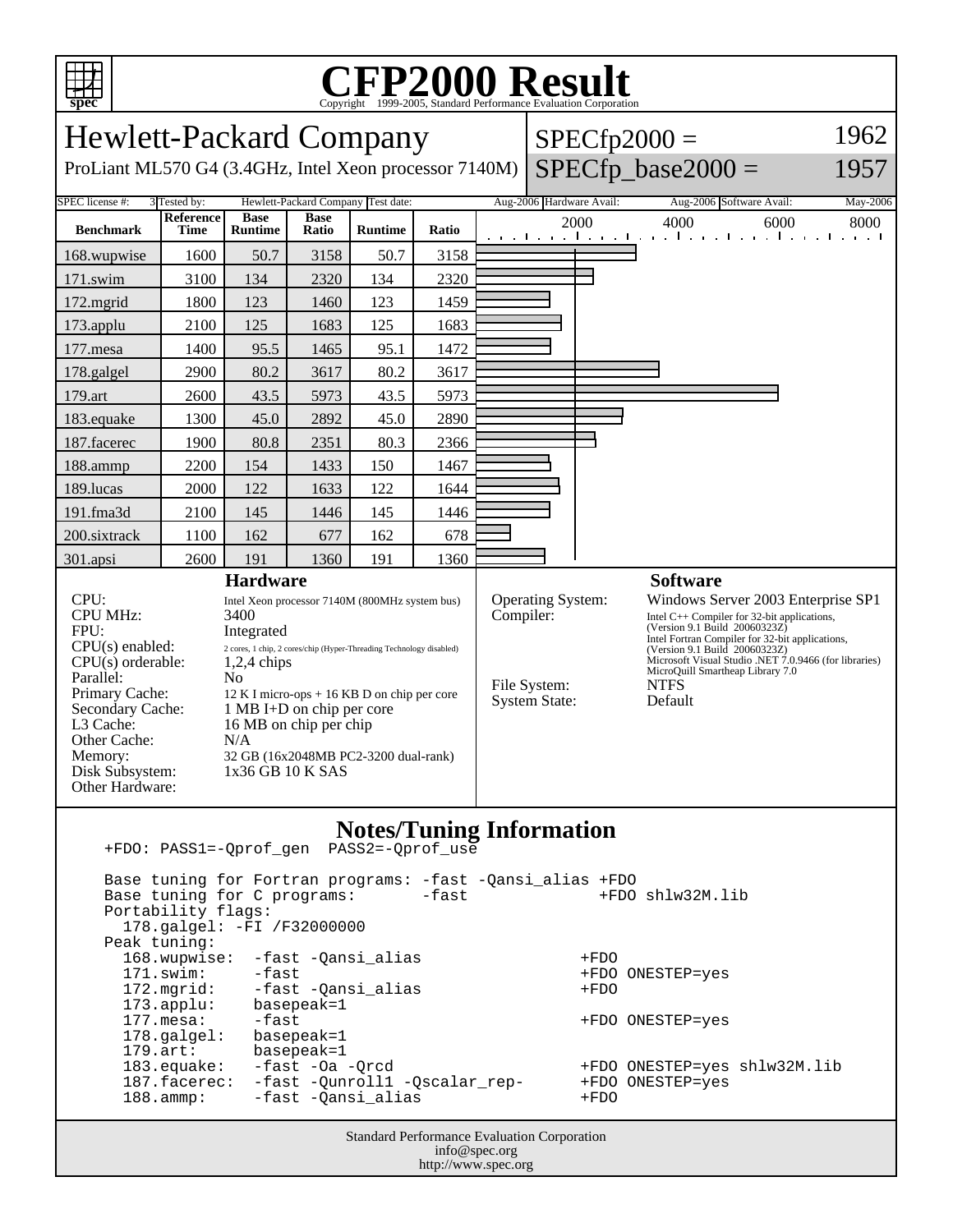

## C<sub>opyright</sub> ©1999-2005, Standard Performance Evaluation Corporation

| <b>Hewlett-Packard Company</b>                                                                                                                                                                                                                                                                                                                                                                                                                                                                                                                                     |                                                                                                                                       |                                              |                                                           |                                                                                                 |                                                                                                                                                                                                                                                                                                                                                                                                           |  | $SPECfp2000 =$           | 1962                     |                                                                                          |          |
|--------------------------------------------------------------------------------------------------------------------------------------------------------------------------------------------------------------------------------------------------------------------------------------------------------------------------------------------------------------------------------------------------------------------------------------------------------------------------------------------------------------------------------------------------------------------|---------------------------------------------------------------------------------------------------------------------------------------|----------------------------------------------|-----------------------------------------------------------|-------------------------------------------------------------------------------------------------|-----------------------------------------------------------------------------------------------------------------------------------------------------------------------------------------------------------------------------------------------------------------------------------------------------------------------------------------------------------------------------------------------------------|--|--------------------------|--------------------------|------------------------------------------------------------------------------------------|----------|
| $SPECfp\_base2000 =$<br>1957<br>ProLiant ML570 G4 (3.4GHz, Intel Xeon processor 7140M)                                                                                                                                                                                                                                                                                                                                                                                                                                                                             |                                                                                                                                       |                                              |                                                           |                                                                                                 |                                                                                                                                                                                                                                                                                                                                                                                                           |  |                          |                          |                                                                                          |          |
| SPEC license #:                                                                                                                                                                                                                                                                                                                                                                                                                                                                                                                                                    | 3 Tested by:                                                                                                                          |                                              |                                                           | Hewlett-Packard Company Test date:                                                              |                                                                                                                                                                                                                                                                                                                                                                                                           |  | Aug-2006 Hardware Avail: |                          | Aug-2006 Software Avail:                                                                 | May-2006 |
| <b>Benchmark</b>                                                                                                                                                                                                                                                                                                                                                                                                                                                                                                                                                   | Reference<br><b>Time</b>                                                                                                              | <b>Base</b><br>Runtime                       | <b>Base</b><br>Ratio                                      | <b>Runtime</b>                                                                                  | Ratio                                                                                                                                                                                                                                                                                                                                                                                                     |  |                          | 2000                     | 4000<br>6000<br>and the continued was the continued with a state of the                  | 8000     |
| 168.wupwise                                                                                                                                                                                                                                                                                                                                                                                                                                                                                                                                                        | 1600                                                                                                                                  | 50.7                                         | 3158                                                      | 50.7                                                                                            | 3158                                                                                                                                                                                                                                                                                                                                                                                                      |  |                          |                          |                                                                                          |          |
| 171.swim                                                                                                                                                                                                                                                                                                                                                                                                                                                                                                                                                           | 3100                                                                                                                                  | 134                                          | 2320                                                      | 134                                                                                             | 2320                                                                                                                                                                                                                                                                                                                                                                                                      |  |                          |                          |                                                                                          |          |
| 172.mgrid                                                                                                                                                                                                                                                                                                                                                                                                                                                                                                                                                          | 1800                                                                                                                                  | 123                                          | 1460                                                      | 123                                                                                             | 1459                                                                                                                                                                                                                                                                                                                                                                                                      |  |                          |                          |                                                                                          |          |
| 173.applu                                                                                                                                                                                                                                                                                                                                                                                                                                                                                                                                                          | 2100                                                                                                                                  | 125                                          | 1683                                                      | 125                                                                                             | 1683                                                                                                                                                                                                                                                                                                                                                                                                      |  |                          |                          |                                                                                          |          |
| 177.mesa                                                                                                                                                                                                                                                                                                                                                                                                                                                                                                                                                           | 1400                                                                                                                                  | 95.5                                         | 1465                                                      | 95.1                                                                                            | 1472                                                                                                                                                                                                                                                                                                                                                                                                      |  |                          |                          |                                                                                          |          |
| 178.galgel                                                                                                                                                                                                                                                                                                                                                                                                                                                                                                                                                         | 2900                                                                                                                                  | 80.2                                         | 3617                                                      | 80.2                                                                                            | 3617                                                                                                                                                                                                                                                                                                                                                                                                      |  |                          |                          |                                                                                          |          |
| 179.art                                                                                                                                                                                                                                                                                                                                                                                                                                                                                                                                                            | 2600                                                                                                                                  | 43.5                                         | 5973                                                      | 43.5                                                                                            | 5973                                                                                                                                                                                                                                                                                                                                                                                                      |  |                          |                          |                                                                                          |          |
| 183.equake                                                                                                                                                                                                                                                                                                                                                                                                                                                                                                                                                         | 1300                                                                                                                                  | 45.0                                         | 2892                                                      | 45.0                                                                                            | 2890                                                                                                                                                                                                                                                                                                                                                                                                      |  |                          |                          |                                                                                          |          |
| 187.facerec                                                                                                                                                                                                                                                                                                                                                                                                                                                                                                                                                        | 1900                                                                                                                                  | 80.8                                         | 2351                                                      | 80.3                                                                                            | 2366                                                                                                                                                                                                                                                                                                                                                                                                      |  |                          |                          |                                                                                          |          |
| 188.ammp                                                                                                                                                                                                                                                                                                                                                                                                                                                                                                                                                           | 2200                                                                                                                                  | 154                                          | 1433                                                      | 150                                                                                             | 1467                                                                                                                                                                                                                                                                                                                                                                                                      |  |                          |                          |                                                                                          |          |
| 189.lucas                                                                                                                                                                                                                                                                                                                                                                                                                                                                                                                                                          | 2000                                                                                                                                  | 122                                          | 1633                                                      | 122                                                                                             | 1644                                                                                                                                                                                                                                                                                                                                                                                                      |  |                          |                          |                                                                                          |          |
| 191.fma3d                                                                                                                                                                                                                                                                                                                                                                                                                                                                                                                                                          | 2100                                                                                                                                  | 145                                          | 1446                                                      | 145                                                                                             | 1446                                                                                                                                                                                                                                                                                                                                                                                                      |  |                          |                          |                                                                                          |          |
| 200.sixtrack                                                                                                                                                                                                                                                                                                                                                                                                                                                                                                                                                       | 1100                                                                                                                                  | 162                                          | 677                                                       | 162                                                                                             | 678                                                                                                                                                                                                                                                                                                                                                                                                       |  |                          |                          |                                                                                          |          |
| 301.apsi                                                                                                                                                                                                                                                                                                                                                                                                                                                                                                                                                           | 2600                                                                                                                                  | 191                                          | 1360                                                      | 191                                                                                             | 1360                                                                                                                                                                                                                                                                                                                                                                                                      |  |                          |                          |                                                                                          |          |
| CPU:<br>Intel Xeon processor 7140M (800MHz system bus)<br>CPU MHz:<br>3400<br>FPU:<br>Integrated<br>$CPU(s)$ enabled:<br>2 cores, 1 chip, 2 cores/chip (Hyper-Threading Technology disabled)<br>$CPU(s)$ orderable:<br>$1,2,4$ chips<br>Parallel:<br>N <sub>o</sub><br>Primary Cache:<br>$12 K I$ micro-ops + 16 KB D on chip per core<br>Secondary Cache:<br>1 MB I+D on chip per core<br>16 MB on chip per chip<br>L3 Cache:<br>Other Cache:<br>N/A<br>Memory:<br>32 GB (16x2048MB PC2-3200 dual-rank)<br>Disk Subsystem:<br>1x36 GB 10 K SAS<br>Other Hardware: |                                                                                                                                       |                                              |                                                           |                                                                                                 | Operating System:<br>Windows Server 2003 Enterprise SP1<br>Compiler:<br>Intel $C++$ Compiler for 32-bit applications,<br>(Version 9.1 Build 20060323Z)<br>Intel Fortran Compiler for 32-bit applications,<br>(Version 9.1 Build 20060323Z)<br>Microsoft Visual Studio .NET 7.0.9466 (for libraries)<br>MicroQuill Smartheap Library 7.0<br>File System:<br><b>NTFS</b><br><b>System State:</b><br>Default |  |                          |                          |                                                                                          |          |
| <b>Notes/Tuning Information</b><br>PASS2=-Qprof_use<br>+FDO: PASS1=-Oprof gen<br>Base tuning for Fortran programs: -fast -Qansi_alias +FDO<br>+FDO shlw32M.lib<br>Base tuning for C programs:<br>-fast<br>Portability flags:                                                                                                                                                                                                                                                                                                                                       |                                                                                                                                       |                                              |                                                           |                                                                                                 |                                                                                                                                                                                                                                                                                                                                                                                                           |  |                          |                          |                                                                                          |          |
| Peak tuning:<br>$179.$ art:                                                                                                                                                                                                                                                                                                                                                                                                                                                                                                                                        | 168.wupwise:<br>171.swim:<br>172.mgrid:<br>173.applu:<br>177.mesa:<br>178.galgel:<br>183.equake:<br>187.facerec:<br>$188.\text{amp}:$ | 178.galgel: -FI /F32000000<br>-fast<br>-fast | basepeak=1<br>basepeak=1<br>basepeak=1<br>-fast -Oa -Qrcd | -fast -Qansi_alias<br>-fast -Qansi_alias<br>-fast -Qunroll1 -Qscalar_rep-<br>-fast -Qansi_alias |                                                                                                                                                                                                                                                                                                                                                                                                           |  |                          | +FDO<br>$+FDO$<br>$+FDO$ | +FDO ONESTEP=yes<br>+FDO ONESTEP=yes<br>+FDO ONESTEP=yes shlw32M.lib<br>+FDO ONESTEP=yes |          |
| <b>Standard Performance Evaluation Corporation</b><br>info@spec.org<br>http://www.spec.org                                                                                                                                                                                                                                                                                                                                                                                                                                                                         |                                                                                                                                       |                                              |                                                           |                                                                                                 |                                                                                                                                                                                                                                                                                                                                                                                                           |  |                          |                          |                                                                                          |          |